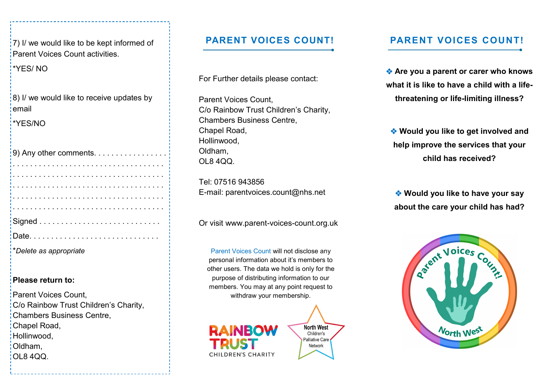$(7)$  I/ we would like to be kept informed of Parent Voices Count activities.

\*YES/ NO

8) I/ we would like to receive updates by email

\*YES/NO

| 9) Any other comments. $\ldots \ldots \ldots \ldots$ |
|------------------------------------------------------|
|                                                      |
|                                                      |
|                                                      |
| 1.1.1.1.1.1.1.1.1                                    |
|                                                      |
|                                                      |
|                                                      |
| *Delete as appropriate                               |

#### **Please return to:**

Parent Voices Count, C/o Rainbow Trust Children's Charity, Chambers Business Centre, Chapel Road, Hollinwood, Oldham, OL8 4QQ.

For Further details please contact:

Parent Voices Count, C/o Rainbow Trust Children's Charity, Chambers Business Centre, Chapel Road, Hollinwood, Oldham, OL8 4QQ.

Tel: 07516 943856 E-mail: parentvoices.count@nhs.net

Or visit www.parent-voices-count.org.uk

Parent Voices Count will not disclose any personal information about it's members to other users. The data we hold is only for the purpose of distributing information to our members. You may at any point request to withdraw your membership.



#### **PARENT VOICES COUNT! PARENT VOICES COUNT!**

 **Are you a parent or carer who knows what it is like to have a child with a lifethreatening or life-limiting illness?**

 **Would you like to get involved and help improve the services that your child has received?**

 **Would you like to have your say about the care your child has had?**